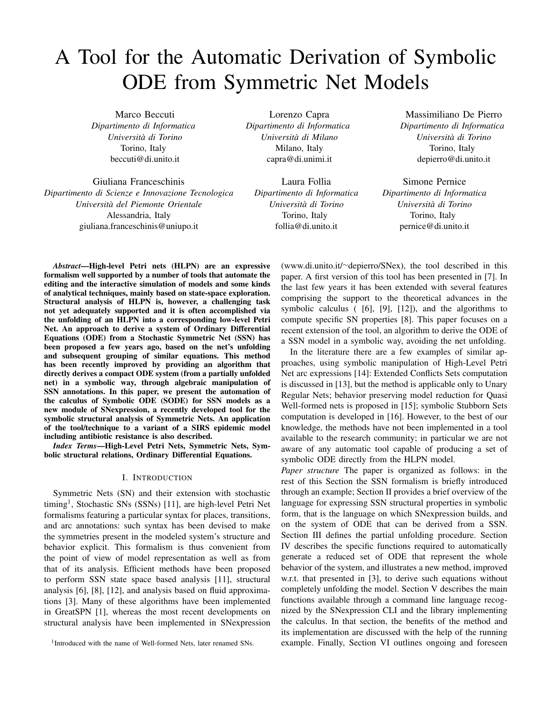# A Tool for the Automatic Derivation of Symbolic ODE from Symmetric Net Models

Marco Beccuti *Dipartimento di Informatica Universita di Torino `* Torino, Italy beccuti@di.unito.it

Giuliana Franceschinis *Dipartimento di Scienze e Innovazione Tecnologica Universita del Piemonte Orientale `* Alessandria, Italy giuliana.franceschinis@uniupo.it

Lorenzo Capra *Dipartimento di Informatica Universita di Milano `* Milano, Italy capra@di.unimi.it

Laura Follia *Dipartimento di Informatica Universita di Torino `* Torino, Italy follia@di.unito.it

Massimiliano De Pierro *Dipartimento di Informatica Universita di Torino `* Torino, Italy depierro@di.unito.it

Simone Pernice *Dipartimento di Informatica Universita di Torino `* Torino, Italy pernice@di.unito.it

*Abstract*—High-level Petri nets (HLPN) are an expressive formalism well supported by a number of tools that automate the editing and the interactive simulation of models and some kinds of analytical techniques, mainly based on state-space exploration. Structural analysis of HLPN is, however, a challenging task not yet adequately supported and it is often accomplished via the unfolding of an HLPN into a corresponding low-level Petri Net. An approach to derive a system of Ordinary Differential Equations (ODE) from a Stochastic Symmetric Net (SSN) has been proposed a few years ago, based on the net's unfolding and subsequent grouping of similar equations. This method has been recently improved by providing an algorithm that directly derives a compact ODE system (from a partially unfolded net) in a symbolic way, through algebraic manipulation of SSN annotations. In this paper, we present the automation of the calculus of Symbolic ODE (SODE) for SSN models as a new module of SNexpression, a recently developed tool for the symbolic structural analysis of Symmetric Nets. An application of the tool/technique to a variant of a SIRS epidemic model including antibiotic resistance is also described.

*Index Terms*—High-Level Petri Nets, Symmetric Nets, Symbolic structural relations, Ordinary Differential Equations.

# I. INTRODUCTION

Symmetric Nets (SN) and their extension with stochastic timing<sup>1</sup>, Stochastic SNs (SSNs) [11], are high-level Petri Net formalisms featuring a particular syntax for places, transitions, and arc annotations: such syntax has been devised to make the symmetries present in the modeled system's structure and behavior explicit. This formalism is thus convenient from the point of view of model representation as well as from that of its analysis. Efficient methods have been proposed to perform SSN state space based analysis [11], structural analysis [6], [8], [12], and analysis based on fluid approximations [3]. Many of these algorithms have been implemented in GreatSPN [1], whereas the most recent developments on structural analysis have been implemented in SNexpression (www.di.unito.it/<sup>∼</sup>depierro/SNex), the tool described in this paper. A first version of this tool has been presented in [7]. In the last few years it has been extended with several features comprising the support to the theoretical advances in the symbolic calculus ( [6], [9], [12]), and the algorithms to compute specific SN properties [8]. This paper focuses on a recent extension of the tool, an algorithm to derive the ODE of a SSN model in a symbolic way, avoiding the net unfolding.

In the literature there are a few examples of similar approaches, using symbolic manipulation of High-Level Petri Net arc expressions [14]: Extended Conflicts Sets computation is discussed in [13], but the method is applicable only to Unary Regular Nets; behavior preserving model reduction for Quasi Well-formed nets is proposed in [15]; symbolic Stubborn Sets computation is developed in [16]. However, to the best of our knowledge, the methods have not been implemented in a tool available to the research community; in particular we are not aware of any automatic tool capable of producing a set of symbolic ODE directly from the HLPN model.

*Paper structure* The paper is organized as follows: in the rest of this Section the SSN formalism is briefly introduced through an example; Section II provides a brief overview of the language for expressing SSN structural properties in symbolic form, that is the language on which SNexpression builds, and on the system of ODE that can be derived from a SSN. Section III defines the partial unfolding procedure. Section IV describes the specific functions required to automatically generate a reduced set of ODE that represent the whole behavior of the system, and illustrates a new method, improved w.r.t. that presented in [3], to derive such equations without completely unfolding the model. Section V describes the main functions available through a command line language recognized by the SNexpression CLI and the library implementing the calculus. In that section, the benefits of the method and its implementation are discussed with the help of the running example. Finally, Section VI outlines ongoing and foreseen

<sup>&</sup>lt;sup>1</sup>Introduced with the name of Well-formed Nets, later renamed SNs.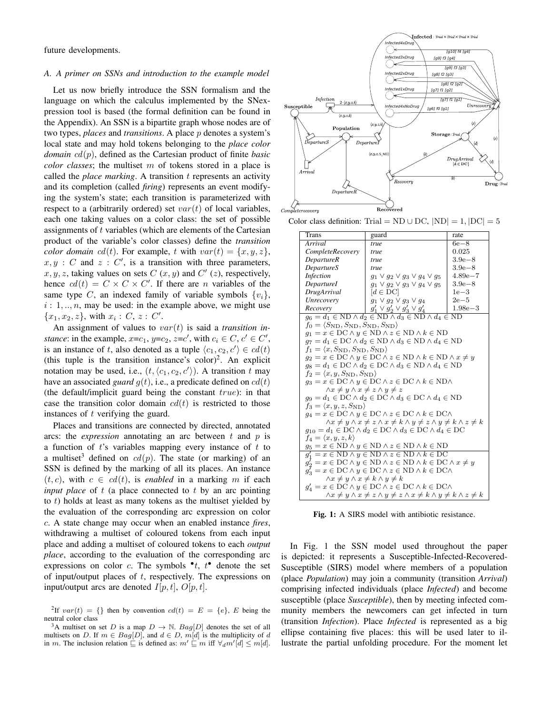future developments.

#### *A. A primer on SSNs and introduction to the example model*

Let us now briefly introduce the SSN formalism and the language on which the calculus implemented by the SNexpression tool is based (the formal definition can be found in the Appendix). An SSN is a bipartite graph whose nodes are of two types, *places* and *transitions*. A place p denotes a system's local state and may hold tokens belonging to the *place color domain* cd(p), defined as the Cartesian product of finite *basic color classes*; the multiset m of tokens stored in a place is called the *place marking*. A transition t represents an activity and its completion (called *firing*) represents an event modifying the system's state; each transition is parameterized with respect to a (arbitrarily ordered) set  $var(t)$  of local variables, each one taking values on a color class: the set of possible assignments of t variables (which are elements of the Cartesian product of the variable's color classes) define the *transition color domain*  $cd(t)$ . For example, t with  $var(t) = \{x, y, z\}$ ,  $x, y$ : C and  $z$ : C', is a transition with three parameters,  $x, y, z$ , taking values on sets  $C(x, y)$  and  $C'(z)$ , respectively, hence  $cd(t) = C \times C \times C'$ . If there are *n* variables of the same type C, an indexed family of variable symbols  $\{v_i\}$ ,  $i: 1, \ldots, n$ , may be used: in the example above, we might use  ${x_1, x_2, z}$ , with  $x_i : C, z : C'$ .

An assignment of values to var(t) is said a *transition instance*: in the example,  $x=c_1$ ,  $y=c_2$ ,  $z=c'$ , with  $c_i \in C$ ,  $c' \in C'$ , is an instance of t, also denoted as a tuple  $\langle c_1, c_2, c' \rangle \in cd(t)$ (this tuple is the transition instance's color)<sup>2</sup>. An explicit notation may be used, i.e.,  $(t, \langle c_1, c_2, c' \rangle)$ . A transition t may have an associated *guard*  $g(t)$ , i.e., a predicate defined on  $cd(t)$ (the default/implicit guard being the constant  $true$ ): in that case the transition color domain  $cd(t)$  is restricted to those instances of t verifying the guard.

Places and transitions are connected by directed, annotated arcs: the *expression* annotating an arc between  $t$  and  $p$  is a function of  $t$ 's variables mapping every instance of  $t$  to a multiset<sup>3</sup> defined on  $cd(p)$ . The state (or marking) of an SSN is defined by the marking of all its places. An instance  $(t, c)$ , with  $c \in cd(t)$ , is *enabled* in a marking m if each *input place* of t (a place connected to t by an arc pointing to  $t$ ) holds at least as many tokens as the multiset yielded by the evaluation of the corresponding arc expression on color c. A state change may occur when an enabled instance *fires*, withdrawing a multiset of coloured tokens from each input place and adding a multiset of coloured tokens to each *output place*, according to the evaluation of the corresponding arc expressions on color c. The symbols  $\cdot t$ ,  $t$  denote the set of input/output places of  $t$ , respectively. The expressions on input/output arcs are denoted  $I[p, t]$ ,  $O[p, t]$ .

<sup>2</sup>If  $var(t) = \{\}$  then by convention  $cd(t) = E = \{e\}$ , E being the neutral color class



Color class definition: Trial = ND ∪ DC,  $|ND| = 1$ ,  $|DC| = 5$ 

| Trans                                                                                                | guard                                     | rate        |  |  |  |  |  |
|------------------------------------------------------------------------------------------------------|-------------------------------------------|-------------|--|--|--|--|--|
| Arrival                                                                                              | true                                      | $6e-8$      |  |  |  |  |  |
| CompleteRecovery                                                                                     | true                                      | 0.025       |  |  |  |  |  |
| <i>DepartureR</i>                                                                                    | true                                      | $3.9e - 8$  |  |  |  |  |  |
| <i>DepartureS</i>                                                                                    | true                                      | $3.9e - 8$  |  |  |  |  |  |
| <i>Infection</i>                                                                                     | $g_1 \vee g_2 \vee g_3 \vee g_4 \vee g_5$ | $4.89e - 7$ |  |  |  |  |  |
| DepartureI                                                                                           | $g_1 \vee g_2 \vee g_3 \vee g_4 \vee g_5$ | $3.9e - 8$  |  |  |  |  |  |
| DrugArrival                                                                                          | $[d \in DC]$                              | $1e-3$      |  |  |  |  |  |
| Unrecovery                                                                                           | $q_1 \vee q_2 \vee q_3 \vee q_4$          | $2e-5$      |  |  |  |  |  |
| Recovery                                                                                             | $g_1' \vee g_2' \vee g_3' \vee g_4'$      | $1.98e - 3$ |  |  |  |  |  |
| $g_6 = d_1 \in \text{ND} \land d_2 \in \text{ND} \land d_3 \in \text{ND} \land d_4 \in \text{ND}$    |                                           |             |  |  |  |  |  |
| $f_0 = \langle S_{\text{ND}}, S_{\text{ND}}, S_{\text{ND}}, S_{\text{ND}} \rangle$                   |                                           |             |  |  |  |  |  |
| $g_1 = x \in \textrm{DC} \wedge y \in \textrm{ND} \wedge z \in \textrm{ND} \wedge k \in \textrm{ND}$ |                                           |             |  |  |  |  |  |
| $q_7 = d_1 \in DC \wedge d_2 \in ND \wedge d_3 \in ND \wedge d_4 \in ND$                             |                                           |             |  |  |  |  |  |
| $f_1 = \langle x, S_{\rm ND}, S_{\rm ND}, S_{\rm ND} \rangle$                                        |                                           |             |  |  |  |  |  |
| $g_2 = x \in DC \land y \in DC \land z \in ND \land k \in ND \land x \neq y$                         |                                           |             |  |  |  |  |  |
| $q_8 = d_1 \in DC \wedge d_2 \in DC \wedge d_3 \in ND \wedge d_4 \in ND$                             |                                           |             |  |  |  |  |  |
| $f_2 = \langle x, y, S_{ND}, S_{ND} \rangle$                                                         |                                           |             |  |  |  |  |  |
| $q_3 = x \in DC \wedge y \in DC \wedge z \in DC \wedge k \in ND \wedge$                              |                                           |             |  |  |  |  |  |
| $\wedge x \neq y \wedge x \neq z \wedge y \neq z$                                                    |                                           |             |  |  |  |  |  |
| $q_9 = d_1 \in DC \wedge d_2 \in DC \wedge d_3 \in DC \wedge d_4 \in ND$                             |                                           |             |  |  |  |  |  |
| $f_3 = \langle x, y, z, S_{ND} \rangle$                                                              |                                           |             |  |  |  |  |  |
| $q_4 = x \in DC \wedge y \in DC \wedge z \in DC \wedge k \in DC \wedge$                              |                                           |             |  |  |  |  |  |
| $\wedge x \neq y \wedge x \neq z \wedge x \neq k \wedge y \neq z \wedge y \neq k \wedge z \neq k$    |                                           |             |  |  |  |  |  |
| $g_{10} = d_1 \in DC \wedge d_2 \in DC \wedge d_3 \in DC \wedge d_4 \in DC$                          |                                           |             |  |  |  |  |  |
| $f_4 = \langle x, y, z, k \rangle$                                                                   |                                           |             |  |  |  |  |  |
| $g_5 = x \in \text{ND} \land y \in \text{ND} \land z \in \text{ND} \land k \in \text{ND}$            |                                           |             |  |  |  |  |  |
| $q'_1 = x \in \text{ND} \land y \in \text{ND} \land z \in \text{ND} \land k \in \text{DC}$           |                                           |             |  |  |  |  |  |
| $q'_2 = x \in DC \land y \in ND \land z \in ND \land k \in DC \land x \neq y$                        |                                           |             |  |  |  |  |  |
| $g_3' = x \in DC \land y \in DC \land z \in ND \land k \in DC \land$                                 |                                           |             |  |  |  |  |  |
| $\wedge x \neq y \wedge x \neq k \wedge y \neq k$                                                    |                                           |             |  |  |  |  |  |
| $g'_4 = x \in DC \wedge y \in DC \wedge z \in DC \wedge k \in DC \wedge$                             |                                           |             |  |  |  |  |  |
| $\wedge x \neq y \wedge x \neq z \wedge y \neq z \wedge x \neq k \wedge y \neq k \wedge z \neq k$    |                                           |             |  |  |  |  |  |

Fig. 1: A SIRS model with antibiotic resistance.

In Fig. 1 the SSN model used throughout the paper is depicted: it represents a Susceptible-Infected-Recovered-Susceptible (SIRS) model where members of a population (place *Population*) may join a community (transition *Arrival*) comprising infected individuals (place *Infected*) and become susceptible (place *Susceptible*), then by meeting infected community members the newcomers can get infected in turn (transition *Infection*). Place *Infected* is represented as a big ellipse containing five places: this will be used later to illustrate the partial unfolding procedure. For the moment let

<sup>&</sup>lt;sup>3</sup>A multiset on set D is a map  $D \to \mathbb{N}$ . Bag[D] denotes the set of all multisets on D. If  $m \in Bag[D]$ , and  $d \in D$ ,  $m[d]$  is the multiplicity of d in m. The inclusion relation  $\subseteq$  is defined as:  $m' \subseteq m$  iff  $\forall_d m' [d] \le m[d]$ .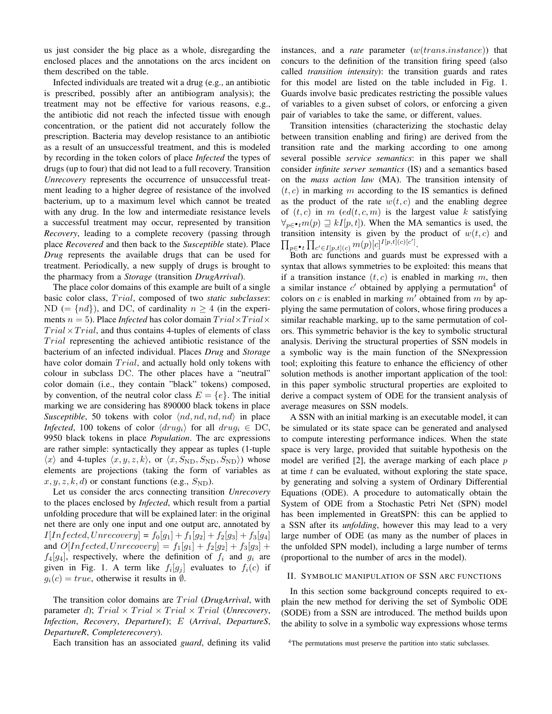us just consider the big place as a whole, disregarding the enclosed places and the annotations on the arcs incident on them described on the table.

Infected individuals are treated wit a drug (e.g., an antibiotic is prescribed, possibly after an antibiogram analysis); the treatment may not be effective for various reasons, e.g., the antibiotic did not reach the infected tissue with enough concentration, or the patient did not accurately follow the prescription. Bacteria may develop resistance to an antibiotic as a result of an unsuccessful treatment, and this is modeled by recording in the token colors of place *Infected* the types of drugs (up to four) that did not lead to a full recovery. Transition *Unrecovery* represents the occurrence of unsuccessful treatment leading to a higher degree of resistance of the involved bacterium, up to a maximum level which cannot be treated with any drug. In the low and intermediate resistance levels a successful treatment may occur, represented by transition *Recovery*, leading to a complete recovery (passing through place *Recovered* and then back to the *Susceptible* state). Place *Drug* represents the available drugs that can be used for treatment. Periodically, a new supply of drugs is brought to the pharmacy from a *Storage* (transition *DrugArrival*).

The place color domains of this example are built of a single basic color class, Trial, composed of two *static subclasses*: ND (=  $\{nd\}$ ), and DC, of cardinality  $n \geq 4$  (in the experiments  $n = 5$ ). Place *Infected* has color domain  $Trial \times Trial \times$  $Trial \times Trial$ , and thus contains 4-tuples of elements of class  $Trial$  representing the achieved antibiotic resistance of the bacterium of an infected individual. Places *Drug* and *Storage* have color domain  $Trial$ , and actually hold only tokens with colour in subclass DC. The other places have a "neutral" color domain (i.e., they contain "black" tokens) composed, by convention, of the neutral color class  $E = \{e\}$ . The initial marking we are considering has 890000 black tokens in place *Susceptible*, 50 tokens with color  $\langle nd, nd, nd, nd \rangle$  in place *Infected*, 100 tokens of color  $\langle drug_i\rangle$  for all  $drug_i \in DC$ , 9950 black tokens in place *Population*. The arc expressions are rather simple: syntactically they appear as tuples (1-tuple  $\langle x \rangle$  and 4-tuples  $\langle x, y, z, k \rangle$ , or  $\langle x, S_{ND}, S_{ND}, S_{ND} \rangle$  whose elements are projections (taking the form of variables as  $x, y, z, k, d$  or constant functions (e.g.,  $S_{ND}$ ).

Let us consider the arcs connecting transition *Unrecovery* to the places enclosed by *Infected*, which result from a partial unfolding procedure that will be explained later: in the original net there are only one input and one output arc, annotated by  $I[Infected, Unrecovery] = f_0[g_1] + f_1[g_2] + f_2[g_3] + f_3[g_4]$ and  $O[Infected, Unrecovery] = f_1[g_1] + f_2[g_2] + f_3[g_3] +$  $f_4[g_4]$ , respectively, where the definition of  $f_i$  and  $g_i$  are given in Fig. 1. A term like  $f_i[g_j]$  evaluates to  $f_i(c)$  if  $g_i(c) = true$ , otherwise it results in  $\emptyset$ .

The transition color domains are T rial (*DrugArrival*, with parameter d);  $Trial \times Trial \times Trial \times Trial$  (*Unrecovery*, *Infection*, *Recovery*, *DepartureI*); E (*Arrival*, *DepartureS*, *DepartureR*, *Completerecovery*).

Each transition has an associated *guard*, defining its valid

instances, and a *rate* parameter (w(trans.instance)) that concurs to the definition of the transition firing speed (also called *transition intensity*): the transition guards and rates for this model are listed on the table included in Fig. 1. Guards involve basic predicates restricting the possible values of variables to a given subset of colors, or enforcing a given pair of variables to take the same, or different, values.

Transition intensities (characterizing the stochastic delay between transition enabling and firing) are derived from the transition rate and the marking according to one among several possible *service semantics*: in this paper we shall consider *infinite server semantics* (IS) and a semantics based on the *mass action law* (MA). The transition intensity of  $(t, c)$  in marking m according to the IS semantics is defined as the product of the rate  $w(t, c)$  and the enabling degree of  $(t, c)$  in m  $(ed(t, c, m)$  is the largest value k satisfying  $\forall_{p \in \mathcal{N}} (p) \sqsupseteq kI[p, t]$ . When the MA semantics is used, the  $\prod_{p\in\bullet}\prod_{c'\in I[p,t](c)}m(p)[c]^{I[p,t](c)[c']}.$ transition intensity is given by the product of  $w(t, c)$  and

Both arc functions and guards must be expressed with a syntax that allows symmetries to be exploited: this means that if a transition instance  $(t, c)$  is enabled in marking m, then a similar instance  $c'$  obtained by applying a permutation<sup>4</sup> of colors on c is enabled in marking  $m'$  obtained from m by applying the same permutation of colors, whose firing produces a similar reachable marking, up to the same permutation of colors. This symmetric behavior is the key to symbolic structural analysis. Deriving the structural properties of SSN models in a symbolic way is the main function of the SNexpression tool; exploiting this feature to enhance the efficiency of other solution methods is another important application of the tool: in this paper symbolic structural properties are exploited to derive a compact system of ODE for the transient analysis of average measures on SSN models.

A SSN with an initial marking is an executable model, it can be simulated or its state space can be generated and analysed to compute interesting performance indices. When the state space is very large, provided that suitable hypothesis on the model are verified  $[2]$ , the average marking of each place  $p$ at time  $t$  can be evaluated, without exploring the state space, by generating and solving a system of Ordinary Differential Equations (ODE). A procedure to automatically obtain the System of ODE from a Stochastic Petri Net (SPN) model has been implemented in GreatSPN: this can be applied to a SSN after its *unfolding*, however this may lead to a very large number of ODE (as many as the number of places in the unfolded SPN model), including a large number of terms (proportional to the number of arcs in the model).

### II. SYMBOLIC MANIPULATION OF SSN ARC FUNCTIONS

In this section some background concepts required to explain the new method for deriving the set of Symbolic ODE (SODE) from a SSN are introduced. The method builds upon the ability to solve in a symbolic way expressions whose terms

<sup>&</sup>lt;sup>4</sup>The permutations must preserve the partition into static subclasses.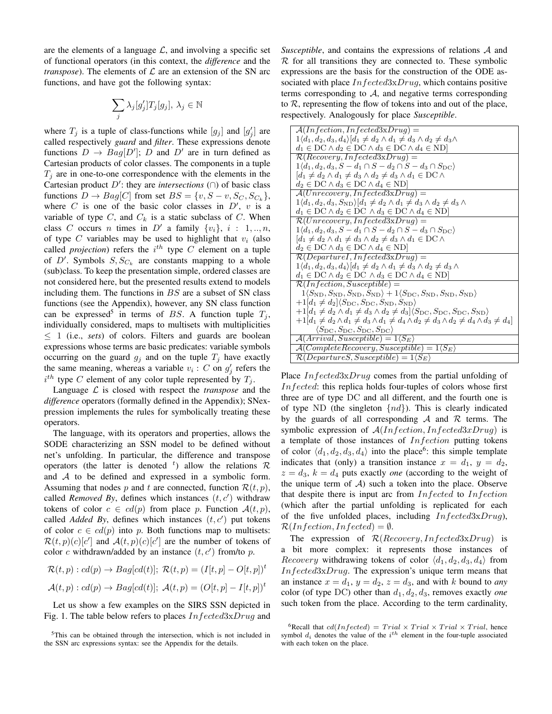are the elements of a language  $\mathcal{L}$ , and involving a specific set of functional operators (in this context, the *difference* and the *transpose*). The elements of  $\mathcal L$  are an extension of the SN arc functions, and have got the following syntax:

$$
\sum_j \lambda_j [g'_j] T_j [g_j], \lambda_j \in \mathbb{N}
$$

where  $T_j$  is a tuple of class-functions while  $[g_j]$  and  $[g'_j]$  are called respectively *guard* and *filter*. These expressions denote functions  $D \to Bag[D']$ ; D and D' are in turn defined as Cartesian products of color classes. The components in a tuple  $T_i$  are in one-to-one correspondence with the elements in the Cartesian product  $D'$ : they are *intersections* ( $\cap$ ) of basic class functions  $D \to Bag[C]$  from set  $BS = \{v, S - v, S_C, S_{C_k}\},\$ where  $C$  is one of the basic color classes in  $D'$ ,  $v$  is a variable of type  $C$ , and  $C_k$  is a static subclass of  $C$ . When class C occurs n times in  $D'$  a family  $\{v_i\}, i : 1, ..., n$ , of type C variables may be used to highlight that  $v_i$  (also called *projection*) refers the  $i^{th}$  type C element on a tuple of  $D'$ . Symbols  $S, S_{C_k}$  are constants mapping to a whole (sub)class. To keep the presentation simple, ordered classes are not considered here, but the presented results extend to models including them. The functions in  $BS$  are a subset of SN class functions (see the Appendix), however, any SN class function can be expressed<sup>5</sup> in terms of BS. A function tuple  $T_j$ , individually considered, maps to multisets with multiplicities ≤ 1 (i.e., *sets*) of colors. Filters and guards are boolean expressions whose terms are basic predicates: variable symbols occurring on the guard  $g_j$  and on the tuple  $T_j$  have exactly the same meaning, whereas a variable  $v_i$ : C on  $g'_j$  refers the  $i^{th}$  type C element of any color tuple represented by  $T_j$ .

Language L is closed with respect the *transpose* and the *difference* operators (formally defined in the Appendix); SNexpression implements the rules for symbolically treating these operators.

The language, with its operators and properties, allows the SODE characterizing an SSN model to be defined without net's unfolding. In particular, the difference and transpose operators (the latter is denoted  $<sup>t</sup>$ ) allow the relations R</sup> and A to be defined and expressed in a symbolic form. Assuming that nodes p and t are connected, function  $\mathcal{R}(t, p)$ , called *Removed By*, defines which instances  $(t, c')$  withdraw tokens of color  $c \in cd(p)$  from place p. Function  $\mathcal{A}(t, p)$ , called *Added By*, defines which instances  $(t, c')$  put tokens of color  $c \in cd(p)$  into p. Both functions map to multisets:  $\mathcal{R}(t,p)(c)[c']$  and  $\mathcal{A}(t,p)(c)[c']$  are the number of tokens of color c withdrawn/added by an instance  $(t, c')$  from/to p.

$$
\mathcal{R}(t, p) : cd(p) \to Bag[cd(t)]; \mathcal{R}(t, p) = (I[t, p] - O[t, p])^t
$$

$$
\mathcal{A}(t, p) : cd(p) \to Bag[cd(t)]; \mathcal{A}(t, p) = (O[t, p] - I[t, p])^t
$$

Let us show a few examples on the SIRS SSN depicted in Fig. 1. The table below refers to places  $In \,fected 3xDruq$  and *Susceptible*, and contains the expressions of relations A and  $R$  for all transitions they are connected to. These symbolic expressions are the basis for the construction of the ODE associated with place  $Infected3xDrug$ , which contains positive terms corresponding to  $A$ , and negative terms corresponding to  $R$ , representing the flow of tokens into and out of the place, respectively. Analogously for place *Susceptible*.

| $A(Infection, Infected 3x Drug) =$                                                                                                                        |
|-----------------------------------------------------------------------------------------------------------------------------------------------------------|
| $1\langle d_1, d_2, d_3, d_4 \rangle   d_1 \neq d_2 \wedge d_1 \neq d_3 \wedge d_2 \neq d_3 \wedge d_1$                                                   |
| $d_1 \in DC \wedge d_2 \in DC \wedge d_3 \in DC \wedge d_4 \in ND$                                                                                        |
| $\mathcal{R}(Recovery, Infected 3x Drug) =$                                                                                                               |
| $1\langle d_1, d_2, d_3, S - d_1 \cap S - d_2 \cap S - d_3 \cap S_{\text{DC}} \rangle$                                                                    |
| $d_1 \neq d_2 \wedge d_1 \neq d_3 \wedge d_2 \neq d_3 \wedge d_1 \in \mathrm{DC} \wedge$                                                                  |
| $d_2 \in DC \wedge d_3 \in DC \wedge d_4 \in ND$                                                                                                          |
| $A(Unrecovery, In fetched 3xDruq) =$                                                                                                                      |
| $1\langle d_1, d_2, d_3, S_{ND} \rangle [d_1 \neq d_2 \wedge d_1 \neq d_3 \wedge d_2 \neq d_3 \wedge d_3]$                                                |
| $d_1 \in DC \wedge d_2 \in DC \wedge d_3 \in DC \wedge d_4 \in ND$                                                                                        |
| $\mathcal{R}(Unrecovery, Infected 3x Drug) =$                                                                                                             |
| $1\langle d_1, d_2, d_3, S-d_1 \cap S-d_2 \cap S-d_3 \cap S_{\text{DC}} \rangle$                                                                          |
| $d_1 \neq d_2 \wedge d_1 \neq d_3 \wedge d_2 \neq d_3 \wedge d_1 \in \mathcal{DC} \wedge$                                                                 |
| $d_2 \in \mathrm{DC} \wedge d_3 \in \mathrm{DC} \wedge d_4 \in \mathrm{ND}$                                                                               |
| $\mathcal{R}(Department, Infected 3x Drug) =$                                                                                                             |
| $1\langle d_1, d_2, d_3, d_4\rangle   d_1 \neq d_2 \wedge d_1 \neq d_3 \wedge d_2 \neq d_3 \wedge d_3$                                                    |
| $d_1 \in DC \wedge d_2 \in DC \wedge d_3 \in DC \wedge d_4 \in ND$                                                                                        |
| $\mathcal{R}(Infection, Susceptible) =$                                                                                                                   |
| $1\langle S_{\text{ND}}, S_{\text{ND}}, S_{\text{ND}}, S_{\text{ND}}\rangle + 1\langle S_{\text{DC}}, S_{\text{ND}}, S_{\text{ND}}, S_{\text{ND}}\rangle$ |
| $+1 d_1 \neq d_2 \langle S_{\text{DC}}, S_{\text{DC}}, S_{\text{ND}}, S_{\text{ND}}\rangle$                                                               |
| $+1 d_1 \neq d_2 \wedge d_1 \neq d_3 \wedge d_2 \neq d_3 \langle S_{\text{DC}}, S_{\text{DC}}, S_{\text{DC}}, S_{\text{ND}}\rangle$                       |
| $+1 d_1 \neq d_2 \wedge d_1 \neq d_3 \wedge d_1 \neq d_4 \wedge d_2 \neq d_3 \wedge d_2 \neq d_4 \wedge d_3 \neq d_4 $                                    |
| $\langle S_{\text{DC}}, S_{\text{DC}}, S_{\text{DC}}, S_{\text{DC}} \rangle$                                                                              |
| $\mathcal{A}(Arrival, Susceptible) = 1 \langle S_E \rangle$                                                                                               |
| $\mathcal{A}(Complete Recovery, Susceptible) = 1\langle S_E \rangle$                                                                                      |
| $\mathcal{R}(DepartmentS, Susceptible) = 1\langle S_E \rangle$                                                                                            |
|                                                                                                                                                           |

Place *Infected3xDrug* comes from the partial unfolding of Infected: this replica holds four-tuples of colors whose first three are of type DC and all different, and the fourth one is of type ND (the singleton  $\{nd\}$ ). This is clearly indicated by the guards of all corresponding  $\mathcal A$  and  $\mathcal R$  terms. The symbolic expression of  $A(Inflection, Infected 3x Drug)$  is a template of those instances of  $Infection$  putting tokens of color  $\langle d_1, d_2, d_3, d_4 \rangle$  into the place<sup>6</sup>: this simple template indicates that (only) a transition instance  $x = d_1$ ,  $y = d_2$ ,  $z = d_3$ ,  $k = d_4$  puts exactly *one* (according to the weight of the unique term of  $A$ ) such a token into the place. Observe that despite there is input arc from  $Infected$  to  $Inflection$ (which after the partial unfolding is replicated for each of the five unfolded places, including  $Infected3x Drug$ ),  $\mathcal{R}(Infection, Infected) = \emptyset.$ 

The expression of  $\mathcal{R}(Recovery, Infected 3x Drug)$  is a bit more complex: it represents those instances of *Recovery* withdrawing tokens of color  $\langle d_1, d_2, d_3, d_4 \rangle$  from  $Infected3x Drug$ . The expression's unique term means that an instance  $x = d_1$ ,  $y = d_2$ ,  $z = d_3$ , and with k bound to *any* color (of type DC) other than  $d_1, d_2, d_3$ , removes exactly *one* such token from the place. According to the term cardinality,

<sup>5</sup>This can be obtained through the intersection, which is not included in the SSN arc expressions syntax: see the Appendix for the details.

<sup>&</sup>lt;sup>6</sup>Recall that  $cd(Infected) = Trial \times Trial \times Trial \times Trial$ , hence symbol  $d_i$  denotes the value of the  $i<sup>th</sup>$  element in the four-tuple associated with each token on the place.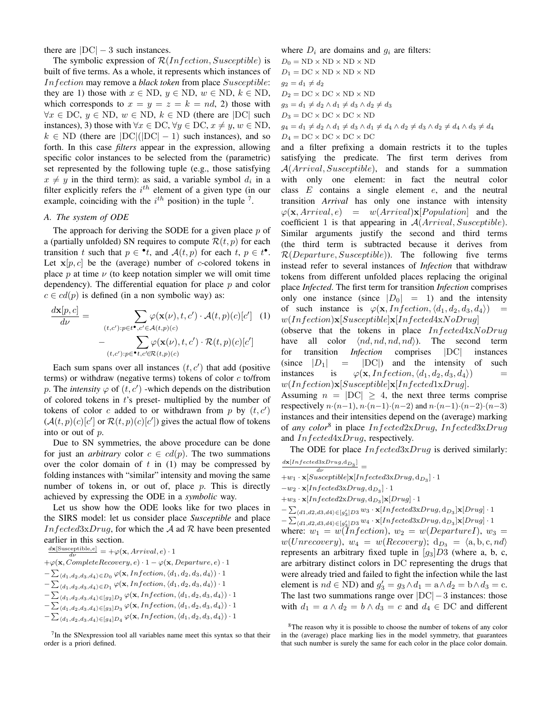there are  $|DC| - 3$  such instances.

The symbolic expression of  $\mathcal{R}(Inflection, Susceptible)$  is built of five terms. As a whole, it represents which instances of Infection may remove a *black token* from place Susceptible: they are 1) those with  $x \in \text{ND}$ ,  $y \in \text{ND}$ ,  $w \in \text{ND}$ ,  $k \in \text{ND}$ , which corresponds to  $x = y = z = k = nd$ , 2) those with  $\forall x \in \text{DC}, y \in \text{ND}, w \in \text{ND}, k \in \text{ND}$  (there are  $|\text{DC}|$  such instances), 3) those with  $\forall x \in \text{DC}, \forall y \in \text{DC}, x \neq y, w \in \text{ND}$ ,  $k \in \text{ND}$  (there are  $|\text{DC}|(|\text{DC}| - 1)$  such instances), and so forth. In this case *filters* appear in the expression, allowing specific color instances to be selected from the (parametric) set represented by the following tuple (e.g., those satisfying  $x \neq y$  in the third term): as said, a variable symbol  $d_i$  in a filter explicitly refers the  $i<sup>th</sup>$  element of a given type (in our example, coinciding with the  $i^{th}$  position) in the tuple  $^7$ .

## *A. The system of ODE*

The approach for deriving the SODE for a given place  $p$  of a (partially unfolded) SN requires to compute  $\mathcal{R}(t, p)$  for each transition t such that  $p \in \cdot t$ , and  $\mathcal{A}(t, p)$  for each  $t, p \in t^{\bullet}$ . Let  $x[p, c]$  be the (average) number of c-colored tokens in place p at time  $\nu$  (to keep notation simpler we will omit time dependency). The differential equation for place  $p$  and color  $c \in cd(p)$  is defined (in a non symbolic way) as:

$$
\frac{d\mathbf{x}[p,c]}{d\nu} = \sum_{(t,c'):p\in t^{\bullet},c'\in\mathcal{A}(t,p)(c)} \varphi(\mathbf{x}(\nu),t,c') \cdot \mathcal{A}(t,p)(c)[c'] \quad (1)
$$

$$
- \sum_{(t,c'):p\in^{\bullet}t,c'\in\mathcal{R}(t,p)(c)} \varphi(\mathbf{x}(\nu),t,c') \cdot \mathcal{R}(t,p)(c)[c']
$$

Each sum spans over all instances  $(t, c')$  that add (positive terms) or withdraw (negative terms) tokens of color  $c$  to/from p. The *intensity*  $\varphi$  of  $(t, c')$  -which depends on the distribution of colored tokens in  $t$ 's preset- multiplied by the number of tokens of color c added to or withdrawn from p by  $(t, c')$  $(A(t, p)(c)[c']$  or  $\mathcal{R}(t, p)(c)[c']$  gives the actual flow of tokens into or out of p.

Due to SN symmetries, the above procedure can be done for just an *arbitrary* color  $c \in cd(p)$ . The two summations over the color domain of  $t$  in (1) may be compressed by folding instances with "similar" intensity and moving the same number of tokens in, or out of, place  $p$ . This is directly achieved by expressing the ODE in a *symbolic* way.

Let us show how the ODE looks like for two places in the SIRS model: let us consider place *Susceptible* and place Infected3xDrug, for which the A ad R have been presented earlier in this section.

 $\frac{d\mathbf{x}[\text{Susceptible},e]}{d\nu} = +\varphi(\mathbf{x},Arrival,e) \cdot 1$  $+\varphi(\mathbf{x}, Complete Recovery, e) \cdot 1 - \varphi(\mathbf{x}, Department, e) \cdot 1$  $-\sum_{\langle d_1,d_2,d_3,d_4\rangle \in D_0} \varphi({\bf x},Infection, \langle d_1,d_2,d_3,d_4\rangle) \cdot 1$  $-\sum_{\langle d_1,d_2,d_3,d_4\rangle \in D_1} \varphi({\bf x},Infection, \langle d_1,d_2,d_3,d_4\rangle) \cdot 1$  $-\sum_{\langle d_1,d_2,d_3,d_4\rangle \in [g_2]D_2} \varphi(\mathbf{x},Infection, \langle d_1,d_2,d_3,d_4\rangle) \cdot 1$  $-\sum_{\langle d_1,d_2,d_3,d_4\rangle \in [g_3]D_3} \varphi(\mathbf{x},Infection, \langle d_1,d_2,d_3,d_4\rangle) \cdot 1$  $-\sum_{\langle d_1,d_2,d_3,d_4\rangle \in [g_4]D_4} \varphi(\mathbf{x},Infection, \langle d_1,d_2,d_3,d_4\rangle) \cdot 1$ 

 $7$ In the SNexpression tool all variables name meet this syntax so that their order is a priori defined.

where  $D_i$  are domains and  $g_i$  are filters:  $D_0 = \text{ND} \times \text{ND} \times \text{ND} \times \text{ND}$ 

 $D_1 = DC \times ND \times ND \times ND$  $g_2 = d_1 \neq d_2$  $D_2 = DC \times DC \times ND \times ND$  $g_3 = d_1 \neq d_2 \wedge d_1 \neq d_3 \wedge d_2 \neq d_3$  $D_3 = DC \times DC \times DC \times ND$  $g_4 = d_1 \neq d_2 \wedge d_1 \neq d_3 \wedge d_1 \neq d_4 \wedge d_2 \neq d_3 \wedge d_2 \neq d_4 \wedge d_3 \neq d_4$  $D_4 = DC \times DC \times DC \times DC$ 

and a filter prefixing a domain restricts it to the tuples satisfying the predicate. The first term derives from A(Arrival, Susceptible), and stands for a summation with only one element: in fact the neutral color class  $E$  contains a single element  $e$ , and the neutral transition *Arrival* has only one instance with intensity  $\varphi(\mathbf{x}, Arrival, e) = w(Arrival)\mathbf{x}[Population]$  and the coefficient 1 is that appearing in  $A(Arrival, Susceptible)$ . Similar arguments justify the second and third terms (the third term is subtracted because it derives from  $\mathcal{R}(Department, Susceptible)$ ). The following five terms instead refer to several instances of *Infection* that withdraw tokens from different unfolded places replacing the original place *Infected*. The first term for transition *Infection* comprises only one instance (since  $|D_0| = 1$ ) and the intensity of such instance is  $\varphi(\mathbf{x}, \text{Infection}, \langle d_1, d_2, d_3, d_4 \rangle) =$  $w(Infection)$ **x**[*Susceptible*]**x**[*Infected4xNoDrug*]

(observe that the tokens in place  $Infected4xNoDrug$ ) have all color  $\langle nd, nd, nd \rangle$ ). The second term for transition *Infection* comprises |DC| instances (since  $|D_1| = |DC|$ ) and the intensity of such instances is  $\varphi(\mathbf{x},\text{Infection},\langle d_1, d_2, d_3, d_4\rangle)$  $w(Infection)$ **x**[*Susceptible*]**x**[*Infected*1x*Drug*].

Assuming  $n = |DC| \geq 4$ , the next three terms comprise respectively  $n \cdot (n-1)$ ,  $n \cdot (n-1) \cdot (n-2)$  and  $n \cdot (n-1) \cdot (n-2) \cdot (n-3)$ instances and their intensities depend on the (average) marking of *any color*<sup>8</sup> in place Infected2xDrug, Infected3xDrug and Infected4xDrug, respectively.

The ODE for place  $Infected 3x Drug$  is derived similarly:  $\frac{d\mathbf{x}[Infected3xDrug, d_{D_3}]}{d\nu} =$ 

- $+w_1 \cdot \mathbf{x}[Susceptible] \mathbf{x}[Infected3 \mathbf{x} Drug, \mathbf{d}_{D_3}] \cdot 1$
- $-w_2 \cdot \mathbf{x}[Infected3x Drug, d_{D_3}] \cdot 1$
- $+w_3 \cdot \mathbf{x}[Infected2\mathbf{x} Drug, \mathbf{d}_{D_3}]\mathbf{x}[Drawg] \cdot 1$
- $-\sum_{\langle d1,d2,d3,d4\rangle \in [g'_3]D3} w_3 \cdot \mathbf{x}[Infected3x Drug,d_{D_3}]\mathbf{x}[Drug] \cdot 1$

 $-\sum_{\langle d1,d2,d3,d4\rangle \in [g'_3]D3} w_4 \cdot \mathbf{x}[Infected3xDrug,d_{D_3}]\mathbf{x}[Drug] \cdot 1$ where:  $w_1 = w(Inflection), w_2 = w(Department), w_3 = w(Department)$  $w(Unrecovery), w_4 = w(Recovery); d_{D_3} = \langle a, b, c, nd \rangle$ represents an arbitrary fixed tuple in  $[g_3]D3$  (where a, b, c, are arbitrary distinct colors in DC representing the drugs that were already tried and failed to fight the infection while the last element is  $nd \in \text{ND}$ ) and  $g'_3 = g_3 \wedge d_1 = a \wedge d_2 = b \wedge d_3 = c$ . The last two summations range over |DC|−3 instances: those with  $d_1 = a \wedge d_2 = b \wedge d_3 = c$  and  $d_4 \in DC$  and different

<sup>8</sup>The reason why it is possible to choose the number of tokens of any color in the (average) place marking lies in the model symmetry, that guarantees that such number is surely the same for each color in the place color domain.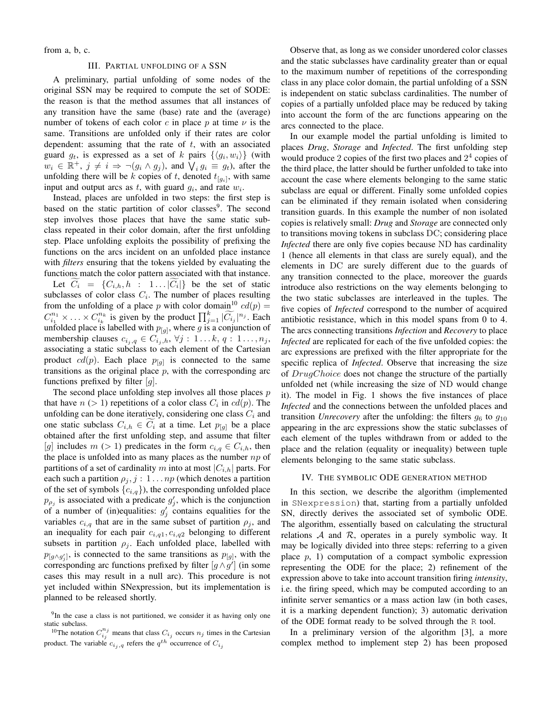from a, b, c.

#### III. PARTIAL UNFOLDING OF A SSN

A preliminary, partial unfolding of some nodes of the original SSN may be required to compute the set of SODE: the reason is that the method assumes that all instances of any transition have the same (base) rate and the (average) number of tokens of each color c in place p at time  $\nu$  is the same. Transitions are unfolded only if their rates are color dependent: assuming that the rate of  $t$ , with an associated guard  $g_t$ , is expressed as a set of k pairs  $\{\langle g_i, w_i \rangle\}$  (with  $w_i \in \mathbb{R}^+, j \neq i \Rightarrow \neg(g_i \wedge g_j)$ , and  $\bigvee_i g_i \equiv g_i$ , after the unfolding there will be k copies of t, denoted  $t_{[g_i]}$ , with same input and output arcs as t, with guard  $g_i$ , and rate  $w_i$ .

Instead, places are unfolded in two steps: the first step is based on the static partition of color classes<sup>9</sup>. The second step involves those places that have the same static subclass repeated in their color domain, after the first unfolding step. Place unfolding exploits the possibility of prefixing the functions on the arcs incident on an unfolded place instance with *filters* ensuring that the tokens yielded by evaluating the functions match the color pattern associated with that instance. Let  $C_i = \{C_{i,h}, h : 1... | C_i | \}$  be the set of static subclasses of color class  $C_i$ . The number of places resulting from the unfolding of a place p with color domain<sup>10</sup>  $cd(p)$  =  $C_{i_1}^{n_1} \times \ldots \times C_{i_k}^{n_k}$  is given by the product  $\prod_{j=1}^k |\widetilde{C_{i_j}}|^{n_j}$ . Each unfolded place is labelled with  $p_{[g]}$ , where g is a conjunction of membership clauses  $c_{i_j, q} \in C_{i_j, h}, \forall j : 1 \dots k, q : 1 \dots, n_j$ , associating a static subclass to each element of the Cartesian product  $cd(p)$ . Each place  $p_{[g]}$  is connected to the same transitions as the original place  $p$ , with the corresponding arc functions prefixed by filter  $[g]$ .

The second place unfolding step involves all those places  $p$ that have  $n (> 1)$  repetitions of a color class  $C_i$  in  $cd(p)$ . The unfolding can be done iteratively, considering one class  $C_i$  and one static subclass  $C_{i,h} \in C_i$  at a time. Let  $p_{[g]}$  be a place obtained after the first unfolding step, and assume that filter [g] includes  $m > 1$ ) predicates in the form  $c_{i,q} \in C_{i,h}$ , then the place is unfolded into as many places as the number  $np$  of partitions of a set of cardinality m into at most  $|C_{i,h}|$  parts. For each such a partition  $\rho_j$ ,  $j: 1 \dots np$  (which denotes a partition of the set of symbols  $\{c_{i,q}\}\)$ , the corresponding unfolded place  $p_{\rho_j}$  is associated with a predicate  $g'_j$ , which is the conjunction of a number of (in)equalities:  $g'_j$  contains equalities for the variables  $c_{i,q}$  that are in the same subset of partition  $\rho_i$ , and an inequality for each pair  $c_{i,q1}, c_{i,q2}$  belonging to different subsets in partition  $\rho_j$ . Each unfolded place, labelled with  $p_{[g \wedge g'_j]}$ , is connected to the same transitions as  $p_{[g]}$ , with the corresponding arc functions prefixed by filter  $[g \wedge g']$  (in some cases this may result in a null arc). This procedure is not yet included within SNexpression, but its implementation is planned to be released shortly.

Observe that, as long as we consider unordered color classes and the static subclasses have cardinality greater than or equal to the maximum number of repetitions of the corresponding class in any place color domain, the partial unfolding of a SSN is independent on static subclass cardinalities. The number of copies of a partially unfolded place may be reduced by taking into account the form of the arc functions appearing on the arcs connected to the place.

In our example model the partial unfolding is limited to places *Drug*, *Storage* and *Infected*. The first unfolding step would produce 2 copies of the first two places and  $2<sup>4</sup>$  copies of the third place, the latter should be further unfolded to take into account the case where elements belonging to the same static subclass are equal or different. Finally some unfolded copies can be eliminated if they remain isolated when considering transition guards. In this example the number of non isolated copies is relatively small: *Drug* and *Storage* are connected only to transitions moving tokens in subclass DC; considering place *Infected* there are only five copies because ND has cardinality 1 (hence all elements in that class are surely equal), and the elements in DC are surely different due to the guards of any transition connected to the place, moreover the guards introduce also restrictions on the way elements belonging to the two static subclasses are interleaved in the tuples. The five copies of *Infected* correspond to the number of acquired antibiotic resistance, which in this model spans from 0 to 4. The arcs connecting transitions *Infection* and *Recovery* to place *Infected* are replicated for each of the five unfolded copies: the arc expressions are prefixed with the filter appropriate for the specific replica of *Infected*. Observe that increasing the size of DrugChoice does not change the structure of the partially unfolded net (while increasing the size of ND would change it). The model in Fig. 1 shows the five instances of place *Infected* and the connections between the unfolded places and transition *Unrecovery* after the unfolding: the filters  $g_6$  to  $g_{10}$ appearing in the arc expressions show the static subclasses of each element of the tuples withdrawn from or added to the place and the relation (equality or inequality) between tuple elements belonging to the same static subclass.

#### IV. THE SYMBOLIC ODE GENERATION METHOD

In this section, we describe the algorithm (implemented in SNexpression) that, starting from a partially unfolded SN, directly derives the associated set of symbolic ODE. The algorithm, essentially based on calculating the structural relations  $A$  and  $R$ , operates in a purely symbolic way. It may be logically divided into three steps: referring to a given place  $p$ , 1) computation of a compact symbolic expression representing the ODE for the place; 2) refinement of the expression above to take into account transition firing *intensity*, i.e. the firing speed, which may be computed according to an infinite server semantics or a mass action law (in both cases, it is a marking dependent function); 3) automatic derivation of the ODE format ready to be solved through the R tool.

In a preliminary version of the algorithm [3], a more complex method to implement step 2) has been proposed

<sup>&</sup>lt;sup>9</sup>In the case a class is not partitioned, we consider it as having only one static subclass.

<sup>&</sup>lt;sup>10</sup>The notation  $C_{i_j}^{n_j}$  means that class  $C_{i_j}$  occurs  $n_j$  times in the Cartesian product. The variable  $c_{i_j,q}$  refers the  $q^{th}$  occurrence of  $C_{i_j}$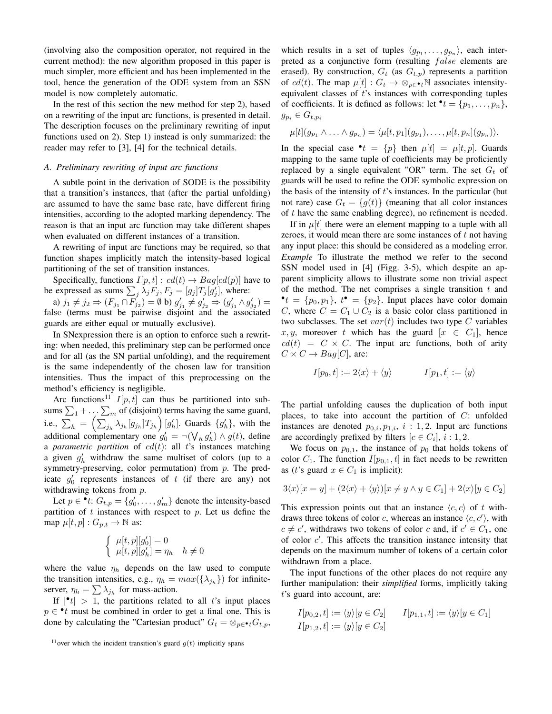(involving also the composition operator, not required in the current method): the new algorithm proposed in this paper is much simpler, more efficient and has been implemented in the tool, hence the generation of the ODE system from an SSN model is now completely automatic.

In the rest of this section the new method for step 2), based on a rewriting of the input arc functions, is presented in detail. The description focuses on the preliminary rewriting of input functions used on 2). Step 1) instead is only summarized: the reader may refer to [3], [4] for the technical details.

## *A. Preliminary rewriting of input arc functions*

A subtle point in the derivation of SODE is the possibility that a transition's instances, that (after the partial unfolding) are assumed to have the same base rate, have different firing intensities, according to the adopted marking dependency. The reason is that an input arc function may take different shapes when evaluated on different instances of a transition.

A rewriting of input arc functions may be required, so that function shapes implicitly match the intensity-based logical partitioning of the set of transition instances.

Specifically, functions  $I[p, t] : cd(t) \rightarrow Bag[cd(p)]$  have to be expressed as sums  $\sum_j \lambda_j F_j$ ,  $F_j = [g_j]T_j[g'_j]$ , where:

a)  $j_1 \neq j_2 \Rightarrow (F_{j_1} \cap F_{j_2}) = \emptyset$  b)  $g'_{j_1} \neq g'_{j_2} \Rightarrow (g'_{j_1} \wedge g'_{j_2}) =$ false (terms must be pairwise disjoint and the associated guards are either equal or mutually exclusive).

In SNexpression there is an option to enforce such a rewriting: when needed, this preliminary step can be performed once and for all (as the SN partial unfolding), and the requirement is the same independently of the chosen law for transition intensities. Thus the impact of this preprocessing on the method's efficiency is negligible.

Arc functions<sup>11</sup>  $I[p, t]$  can thus be partitioned into subsums  $\sum_{1} + \dots \sum_{m}$  of (disjoint) terms having the same guard, i.e.,  $\sum_{h} = \left( \sum_{j_h} \lambda_{j_h} [g_{j_h}] T_{j_h} \right) [g'_h]$ . Guards  $\{g'_h\}$ , with the additional complementary one  $g'_0 = \neg(\bigvee_h g'_h) \wedge g(t)$ , define a *parametric partition* of  $cd(t)$ : all t's instances matching a given  $g'_{h}$  withdraw the same multiset of colors (up to a symmetry-preserving, color permutation) from  $p$ . The predicate  $g'_0$  represents instances of t (if there are any) not withdrawing tokens from p.

Let  $p \in \cdot t$ :  $G_{t,p} = \{g'_0, \ldots, g'_m\}$  denote the intensity-based partition of  $t$  instances with respect to  $p$ . Let us define the map  $\mu[t, p] : G_{p,t} \to \mathbb{N}$  as:

$$
\begin{cases} \mu[t,p][g_0'] = 0\\ \mu[t,p][g_h'] = \eta_h \quad h \neq 0 \end{cases}
$$

where the value  $\eta_h$  depends on the law used to compute the transition intensities, e.g.,  $\eta_h = max(\{\lambda_{j_h}\})$  for infiniteserver,  $\eta_h = \sum \lambda_{j_h}$  for mass-action.

If  $|\cdot t| > 1$ , the partitions related to all t's input places  $p \in \cdot t$  must be combined in order to get a final one. This is done by calculating the "Cartesian product"  $G_t = \otimes_{p \in \bullet_t} G_{t,p}$ ,

which results in a set of tuples  $\langle g_{p_1}, \ldots, g_{p_n} \rangle$ , each interpreted as a conjunctive form (resulting false elements are erased). By construction,  $G_t$  (as  $G_{t,p}$ ) represents a partition of cd(t). The map  $\mu[t] : G_t \to \otimes_{p \in \bullet_t} \mathbb{N}$  associates intensityequivalent classes of  $t$ 's instances with corresponding tuples of coefficients. It is defined as follows: let  $\bullet$   $t = \{p_1, \ldots, p_n\},\,$  $g_{p_i} \in G_{t,p_i}$ 

$$
\mu[t](g_{p_1} \wedge \ldots \wedge g_{p_n}) = \langle \mu[t, p_1](g_{p_1}), \ldots, \mu[t, p_n](g_{p_n}) \rangle.
$$

In the special case  $\mathbf{e} \cdot t = \{p\}$  then  $\mu[t] = \mu[t, p]$ . Guards mapping to the same tuple of coefficients may be proficiently replaced by a single equivalent "OR" term. The set  $G_t$  of guards will be used to refine the ODE symbolic expression on the basis of the intensity of  $t$ 's instances. In the particular (but not rare) case  $G_t = \{g(t)\}\$  (meaning that all color instances of  $t$  have the same enabling degree), no refinement is needed.

If in  $\mu[t]$  there were an element mapping to a tuple with all zeroes, it would mean there are some instances of  $t$  not having any input place: this should be considered as a modeling error. *Example* To illustrate the method we refer to the second SSN model used in [4] (Figg. 3-5), which despite an apparent simplicity allows to illustrate some non trivial aspect of the method. The net comprises a single transition  $t$  and  $\bullet$  t = {p<sub>0</sub>, p<sub>1</sub>}, t  $\bullet$  = {p<sub>2</sub>}. Input places have color domain C, where  $C = C_1 \cup C_2$  is a basic color class partitioned in two subclasses. The set  $var(t)$  includes two type C variables x, y, moreover t which has the guard  $[x \in C_1]$ , hence  $cd(t) = C \times C$ . The input arc functions, both of arity  $C \times C \rightarrow Baq[C]$ , are:

$$
I[p_0, t] := 2\langle x \rangle + \langle y \rangle \qquad I[p_1, t] := \langle y \rangle
$$

The partial unfolding causes the duplication of both input places, to take into account the partition of  $C$ : unfolded instances are denoted  $p_{0,i}, p_{1,i}, i : 1, 2$ . Input arc functions are accordingly prefixed by filters  $[c \in C_i], i : 1, 2$ .

We focus on  $p_{0,1}$ , the instance of  $p_0$  that holds tokens of color  $C_1$ . The function  $I[p_{0,1}, t]$  in fact needs to be rewritten as (*t*'s guard  $x \in C_1$  is implicit):

$$
3\langle x \rangle [x = y] + (2\langle x \rangle + \langle y \rangle)[x \neq y \land y \in C_1] + 2\langle x \rangle [y \in C_2]
$$

This expression points out that an instance  $\langle c, c \rangle$  of t withdraws three tokens of color c, whereas an instance  $\langle c, c' \rangle$ , with  $c \neq c'$ , withdraws two tokens of color c and, if  $c' \in C_1$ , one of color  $c'$ . This affects the transition instance intensity that depends on the maximum number of tokens of a certain color withdrawn from a place.

The input functions of the other places do not require any further manipulation: their *simplified* forms, implicitly taking t's guard into account, are:

$$
I[p_{0,2}, t] := \langle y \rangle [y \in C_2] \qquad I[p_{1,1}, t] := \langle y \rangle [y \in C_1]
$$
  

$$
I[p_{1,2}, t] := \langle y \rangle [y \in C_2]
$$

<sup>&</sup>lt;sup>11</sup> over which the incident transition's guard  $q(t)$  implicitly spans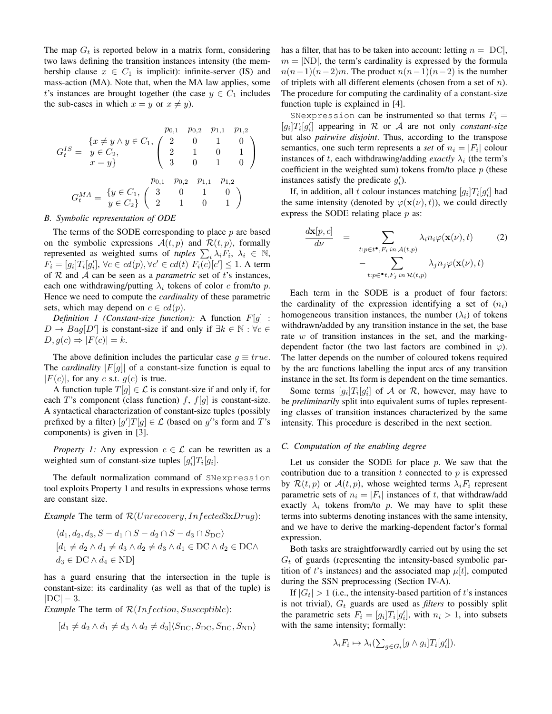The map  $G_t$  is reported below in a matrix form, considering two laws defining the transition instances intensity (the membership clause  $x \in C_1$  is implicit): infinite-server (IS) and mass-action (MA). Note that, when the MA law applies, some t's instances are brought together (the case  $y \in C_1$  includes the sub-cases in which  $x = y$  or  $x \neq y$ ).

$$
G_t^{IS} = \begin{cases} x \neq y \land y \in C_1, & p_{0,1} & p_{0,2} & p_{1,1} & p_{1,2} \\ y \in C_2, & 2 & 1 & 0 & 1 \\ x = y \end{cases}
$$
\n
$$
G_t^{MA} = \begin{cases} y \in C_1, & \begin{pmatrix} 2 & 0 & 1 & 0 \\ 2 & 1 & 0 & 1 \\ 3 & 0 & 1 & 0 \end{pmatrix} \end{cases}
$$
\n
$$
G_t^{MA} = \begin{cases} y \in C_1, & \begin{pmatrix} 3 & 0 & 1 & 0 \\ y \in C_2 \end{pmatrix} & \begin{pmatrix} 1 & 0 & 0 \\ 2 & 1 & 0 & 1 \end{pmatrix} \end{cases}
$$

#### *B. Symbolic representation of ODE*

The terms of the SODE corresponding to place  $p$  are based on the symbolic expressions  $A(t, p)$  and  $\mathcal{R}(t, p)$ , formally represented as weighted sums of *tuples*  $\sum_i \lambda_i F_i$ ,  $\lambda_i \in \mathbb{N}$ ,  $F_i = [g_i]T_i[g'_i], \forall c \in cd(p), \forall c' \in cd(t) \ F_i(c)[c'] \leq 1.$  A term of  $R$  and  $A$  can be seen as a *parametric* set of t's instances, each one withdrawing/putting  $\lambda_i$  tokens of color c from/to p. Hence we need to compute the *cardinality* of these parametric sets, which may depend on  $c \in cd(p)$ .

*Definition 1 (Constant-size function):* A function  $F[g]$  :  $D \to Bag[D']$  is constant-size if and only if  $\exists k \in \mathbb{N} : \forall c \in$  $D, g(c) \Rightarrow |F(c)| = k.$ 

The above definition includes the particular case  $q \equiv true$ . The *cardinality*  $|F[g]|$  of a constant-size function is equal to  $|F(c)|$ , for any c s.t.  $g(c)$  is true.

A function tuple  $T[g] \in \mathcal{L}$  is constant-size if and only if, for each T's component (class function)  $f$ ,  $f[g]$  is constant-size. A syntactical characterization of constant-size tuples (possibly prefixed by a filter)  $[g']T[g] \in \mathcal{L}$  (based on g''s form and T's components) is given in [3].

*Property 1:* Any expression  $e \in \mathcal{L}$  can be rewritten as a weighted sum of constant-size tuples  $[g'_i]T_i[g_i]$ .

The default normalization command of SNexpression tool exploits Property 1 and results in expressions whose terms are constant size.

*Example* The term of  $\mathcal{R}(Unrecovery, Infected3xDrug)$ :

$$
\langle d_1, d_2, d_3, S - d_1 \cap S - d_2 \cap S - d_3 \cap S_{\text{DC}} \rangle
$$
  

$$
[d_1 \neq d_2 \land d_1 \neq d_3 \land d_2 \neq d_3 \land d_1 \in \text{DC} \land d_2 \in \text{DC} \land d_3 \in \text{DC} \land d_4 \in \text{ND}]
$$

has a guard ensuring that the intersection in the tuple is constant-size: its cardinality (as well as that of the tuple) is  $|DC| - 3.$ 

*Example* The term of  $\mathcal{R}(Infection, Susceptible)$ :

$$
[d_1 \neq d_2 \land d_1 \neq d_3 \land d_2 \neq d_3] \langle S_{\text{DC}}, S_{\text{DC}}, S_{\text{DC}}, S_{\text{ND}} \rangle
$$

has a filter, that has to be taken into account: letting  $n = |DC|$ ,  $m = |ND|$ , the term's cardinality is expressed by the formula  $n(n-1)(n-2)m$ . The product  $n(n-1)(n-2)$  is the number of triplets with all different elements (chosen from a set of  $n$ ). The procedure for computing the cardinality of a constant-size function tuple is explained in [4].

SNexpression can be instrumented so that terms  $F_i =$  $[g_i]T_i[g'_i]$  appearing in  $R$  or  $A$  are not only *constant-size* but also *pairwise disjoint*. Thus, according to the transpose semantics, one such term represents a *set* of  $n_i = |F_i|$  colour instances of t, each withdrawing/adding *exactly*  $\lambda_i$  (the term's coefficient in the weighted sum) tokens from/to place  $p$  (these instances satisfy the predicate  $g_i'$ ).

If, in addition, all t colour instances matching  $[g_i]T_i[g'_i]$  had the same intensity (denoted by  $\varphi(\mathbf{x}(\nu), t)$ ), we could directly express the SODE relating place  $p$  as:

$$
\frac{d\mathbf{x}[p,c]}{d\nu} = \sum_{\substack{t:p\in t^{\bullet}, F_i \text{ in } \mathcal{A}(t,p) \\ -\sum_{t:p\in \bullet t, F_j \text{ in } \mathcal{R}(t,p)}} \lambda_i n_i \varphi(\mathbf{x}(\nu), t)} \tag{2}
$$

Each term in the SODE is a product of four factors: the cardinality of the expression identifying a set of  $(n<sub>i</sub>)$ homogeneous transition instances, the number  $(\lambda_i)$  of tokens withdrawn/added by any transition instance in the set, the base rate  $w$  of transition instances in the set, and the markingdependent factor (the two last factors are combined in  $\varphi$ ). The latter depends on the number of coloured tokens required by the arc functions labelling the input arcs of any transition instance in the set. Its form is dependent on the time semantics.

Some terms  $[g_i]T_i[g'_i]$  of A or R, however, may have to be *preliminarily* split into equivalent sums of tuples representing classes of transition instances characterized by the same intensity. This procedure is described in the next section.

## *C. Computation of the enabling degree*

Let us consider the SODE for place  $p$ . We saw that the contribution due to a transition  $t$  connected to  $p$  is expressed by  $\mathcal{R}(t, p)$  or  $\mathcal{A}(t, p)$ , whose weighted terms  $\lambda_i F_i$  represent parametric sets of  $n_i = |F_i|$  instances of t, that withdraw/add exactly  $\lambda_i$  tokens from/to p. We may have to split these terms into subterms denoting instances with the same intensity, and we have to derive the marking-dependent factor's formal expression.

Both tasks are straightforwardly carried out by using the set  $G_t$  of guards (representing the intensity-based symbolic partition of t's instances) and the associated map  $\mu[t]$ , computed during the SSN preprocessing (Section IV-A).

If  $|G_t| > 1$  (i.e., the intensity-based partition of t's instances is not trivial),  $G_t$  guards are used as *filters* to possibly split the parametric sets  $F_i = [g_i]T_i[g'_i]$ , with  $n_i > 1$ , into subsets with the same intensity; formally:

$$
\lambda_i F_i \mapsto \lambda_i \left( \sum_{g \in G_t} [g \wedge g_i] T_i [g_i'] \right).
$$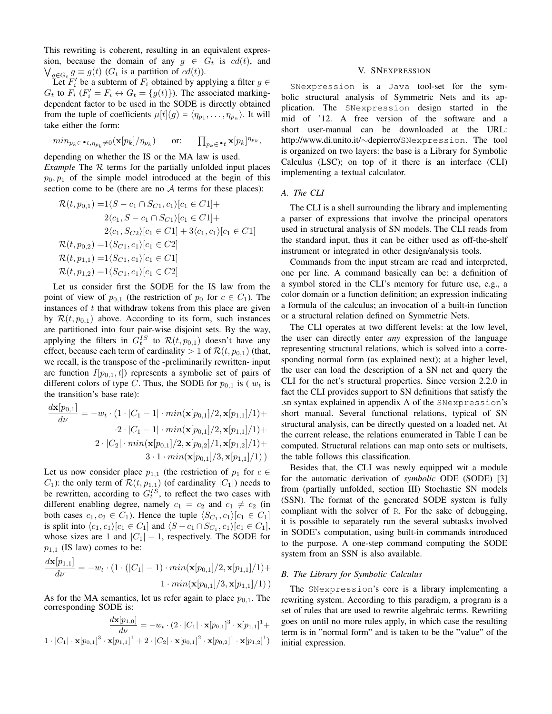This rewriting is coherent, resulting in an equivalent expression, because the domain of any  $g \in G_t$  is  $cd(t)$ , and  $\bigvee_{g \in G_t} g \equiv g(t)$  ( $G_t$  is a partition of  $cd(t)$ ).

Let  $F_i'$  be a subterm of  $F_i$  obtained by applying a filter  $g \in$  $G_t$  to  $F_i$  ( $F'_i = F_i \leftrightarrow G_t = \{g(t)\}\)$ . The associated markingdependent factor to be used in the SODE is directly obtained from the tuple of coefficients  $\mu[t](g) = \langle \eta_{p_1}, \dots, \eta_{p_n} \rangle$ . It will take either the form:

$$
min_{p_k \in \mathbf{P}_t, \eta_{p_k} \neq 0} (\mathbf{x}[p_k]/\eta_{p_k}) \qquad \text{or:} \qquad \prod_{p_k \in \mathbf{P}_t} \mathbf{x}[p_k]^{\eta_{p_k}},
$$

depending on whether the IS or the MA law is used. *Example* The  $R$  terms for the partially unfolded input places  $p_0, p_1$  of the simple model introduced at the begin of this section come to be (there are no  $A$  terms for these places):

$$
\mathcal{R}(t, p_{0,1}) = 1\langle S - c_1 \cap S_{C_1}, c_1 \rangle [c_1 \in C_1] +
$$
  
\n
$$
2\langle c_1, S - c_1 \cap S_{C_1} \rangle [c_1 \in C_1] +
$$
  
\n
$$
2\langle c_1, S_{C_2} \rangle [c_1 \in C_1] + 3\langle c_1, c_1 \rangle [c_1 \in C_1]
$$
  
\n
$$
\mathcal{R}(t, p_{0,2}) = 1\langle S_{C_1}, c_1 \rangle [c_1 \in C_2]
$$
  
\n
$$
\mathcal{R}(t, p_{1,1}) = 1\langle S_{C_1}, c_1 \rangle [c_1 \in C_1]
$$
  
\n
$$
\mathcal{R}(t, p_{1,2}) = 1\langle S_{C_1}, c_1 \rangle [c_1 \in C_2]
$$

Let us consider first the SODE for the IS law from the point of view of  $p_{0,1}$  (the restriction of  $p_0$  for  $c \in C_1$ ). The instances of  $t$  that withdraw tokens from this place are given by  $\mathcal{R}(t, p_{0,1})$  above. According to its form, such instances are partitioned into four pair-wise disjoint sets. By the way, applying the filters in  $G_t^{IS}$  to  $\mathcal{R}(t, p_{0,1})$  doesn't have any effect, because each term of cardinality  $> 1$  of  $\mathcal{R}(t, p_{0,1})$  (that, we recall, is the transpose of the -preliminarily rewritten- input arc function  $I[p_{0,1}, t]$  represents a symbolic set of pairs of different colors of type C. Thus, the SODE for  $p_{0,1}$  is ( $w_t$  is the transition's base rate):

$$
\frac{d\mathbf{x}[p_{0,1}]}{d\nu} = -w_t \cdot (1 \cdot |C_1 - 1| \cdot min(\mathbf{x}[p_{0,1}]/2, \mathbf{x}[p_{1,1}]/1) +
$$

$$
\cdot 2 \cdot |C_1 - 1| \cdot min(\mathbf{x}[p_{0,1}]/2, \mathbf{x}[p_{1,1}]/1) +
$$

$$
2 \cdot |C_2| \cdot min(\mathbf{x}[p_{0,1}]/2, \mathbf{x}[p_{0,2}]/1, \mathbf{x}[p_{1,2}]/1) +
$$

$$
3 \cdot 1 \cdot min(\mathbf{x}[p_{0,1}]/3, \mathbf{x}[p_{1,1}]/1))
$$

Let us now consider place  $p_{1,1}$  (the restriction of  $p_1$  for  $c \in$  $C_1$ ): the only term of  $\mathcal{R}(t, p_{1,1})$  (of cardinality  $|C_1|$ ) needs to be rewritten, according to  $G_t^{IS}$ , to reflect the two cases with different enabling degree, namely  $c_1 = c_2$  and  $c_1 \neq c_2$  (in both cases  $c_1, c_2 \in C_1$ ). Hence the tuple  $\langle S_{C_1}, c_1 \rangle [c_1 \in C_1]$ is split into  $\langle c_1, c_1 \rangle [c_1 \in C_1]$  and  $\langle S - c_1 \cap S_{C_1}, c_1 \rangle [c_1 \in C_1]$ , whose sizes are 1 and  $|C_1| - 1$ , respectively. The SODE for  $p_{1,1}$  (IS law) comes to be:  $d = 1$ 

$$
\frac{a\mathbf{x}[p_{1,1}]}{d\nu} = -w_t \cdot (1 \cdot (|C_1| - 1) \cdot min(\mathbf{x}[p_{0,1}]/2, \mathbf{x}[p_{1,1}]/1) + 1 \cdot min(\mathbf{x}[p_{0,1}]/3, \mathbf{x}[p_{1,1}]/1))
$$

As for the MA semantics, let us refer again to place  $p_{0,1}$ . The corresponding SODE is:

$$
\frac{d\mathbf{x}[p_{1,0}]}{d\nu} = -w_t \cdot (2 \cdot |C_1| \cdot \mathbf{x}[p_{0,1}]^3 \cdot \mathbf{x}[p_{1,1}]^1 +
$$
  
1 · |C\_1| ·  $\mathbf{x}[p_{0,1}]^3 \cdot \mathbf{x}[p_{1,1}]^1 + 2 \cdot |C_2| \cdot \mathbf{x}[p_{0,1}]^2 \cdot \mathbf{x}[p_{0,2}]^1 \cdot \mathbf{x}[p_{1,2}]^1)$ 

### V. SNEXPRESSION

SNexpression is a Java tool-set for the symbolic structural analysis of Symmetric Nets and its application. The SNexpression design started in the mid of '12. A free version of the software and a short user-manual can be downloaded at the URL: http://www.di.unito.it/∼depierro/SNexpression. The tool is organized on two layers: the base is a Library for Symbolic Calculus (LSC); on top of it there is an interface (CLI) implementing a textual calculator.

## *A. The CLI*

The CLI is a shell surrounding the library and implementing a parser of expressions that involve the principal operators used in structural analysis of SN models. The CLI reads from the standard input, thus it can be either used as off-the-shelf instrument or integrated in other design/analysis tools.

Commands from the input stream are read and interpreted, one per line. A command basically can be: a definition of a symbol stored in the CLI's memory for future use, e.g., a color domain or a function definition; an expression indicating a formula of the calculus; an invocation of a built-in function or a structural relation defined on Symmetric Nets.

The CLI operates at two different levels: at the low level, the user can directly enter *any* expression of the language representing structural relations, which is solved into a corresponding normal form (as explained next); at a higher level, the user can load the description of a SN net and query the CLI for the net's structural properties. Since version 2.2.0 in fact the CLI provides support to SN definitions that satisfy the .sn syntax explained in appendix A of the SNexpression's short manual. Several functional relations, typical of SN structural analysis, can be directly quested on a loaded net. At the current release, the relations enumerated in Table I can be computed. Structural relations can map onto sets or multisets, the table follows this classification.

Besides that, the CLI was newly equipped wit a module for the automatic derivation of *symbolic* ODE (SODE) [3] from (partially unfolded, section III) Stochastic SN models (SSN). The format of the generated SODE system is fully compliant with the solver of R. For the sake of debugging, it is possible to separately run the several subtasks involved in SODE's computation, using built-in commands introduced to the purpose. A one-step command computing the SODE system from an SSN is also available.

## *B. The Library for Symbolic Calculus*

The SNexpression's core is a library implementing a rewriting system. According to this paradigm, a program is a set of rules that are used to rewrite algebraic terms. Rewriting goes on until no more rules apply, in which case the resulting term is in "normal form" and is taken to be the "value" of the initial expression.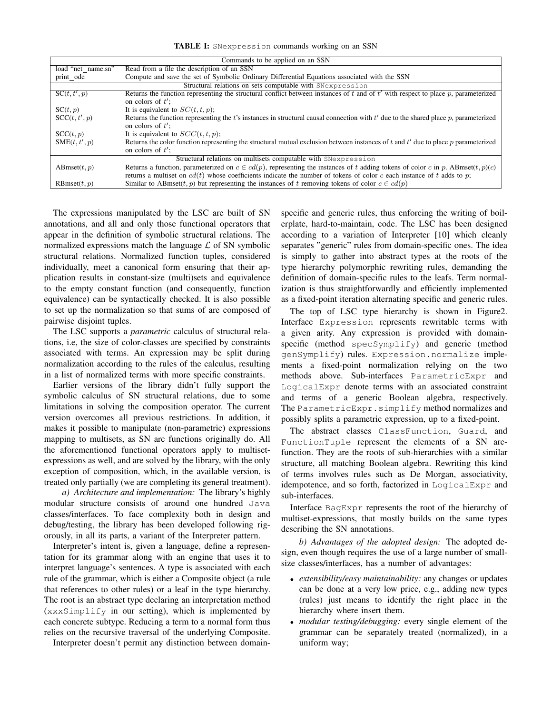TABLE I: SNexpression commands working on an SSN

| Commands to be applied on an SSN                               |                                                                                                                                                               |  |  |  |  |  |
|----------------------------------------------------------------|---------------------------------------------------------------------------------------------------------------------------------------------------------------|--|--|--|--|--|
| load "net name.sn"                                             | Read from a file the description of an SSN                                                                                                                    |  |  |  |  |  |
| print ode                                                      | Compute and save the set of Symbolic Ordinary Differential Equations associated with the SSN                                                                  |  |  |  |  |  |
| Structural relations on sets computable with SNexpression      |                                                                                                                                                               |  |  |  |  |  |
| SC(t, t', p)                                                   | Returns the function representing the structural conflict between instances of t and of $t'$ with respect to place p, parameterized<br>on colors of $t'$ ;    |  |  |  |  |  |
| SC(t, p)                                                       | It is equivalent to $SC(t, t, p)$ ;                                                                                                                           |  |  |  |  |  |
| SCC(t, t', p)                                                  | Returns the function representing the t's instances in structural causal connection with $t'$ due to the shared place p, parameterized<br>on colors of $t'$ : |  |  |  |  |  |
| SCC(t,p)                                                       | It is equivalent to $SCC(t, t, p)$ ;                                                                                                                          |  |  |  |  |  |
| SME(t, t', p)                                                  | Returns the color function representing the structural mutual exclusion between instances of t and $t'$ due to place p parameterized<br>on colors of $t'$ :   |  |  |  |  |  |
| Structural relations on multisets computable with SNexpression |                                                                                                                                                               |  |  |  |  |  |
| ABmset $(t, p)$                                                | Returns a function, parameterized on $c \in cd(p)$ , representing the instances of t adding tokens of color c in p. ABmset $(t, p)(c)$                        |  |  |  |  |  |
|                                                                | returns a multiset on $cd(t)$ whose coefficients indicate the number of tokens of color c each instance of t adds to p;                                       |  |  |  |  |  |
| RBmset(t, p)                                                   | Similar to ABmset(t, p) but representing the instances of t removing tokens of color $c \in cd(p)$                                                            |  |  |  |  |  |

The expressions manipulated by the LSC are built of SN annotations, and all and only those functional operators that appear in the definition of symbolic structural relations. The normalized expressions match the language  $\mathcal L$  of SN symbolic structural relations. Normalized function tuples, considered individually, meet a canonical form ensuring that their application results in constant-size (multi)sets and equivalence to the empty constant function (and consequently, function equivalence) can be syntactically checked. It is also possible to set up the normalization so that sums of are composed of pairwise disjoint tuples.

The LSC supports a *parametric* calculus of structural relations, i.e, the size of color-classes are specified by constraints associated with terms. An expression may be split during normalization according to the rules of the calculus, resulting in a list of normalized terms with more specific constraints.

Earlier versions of the library didn't fully support the symbolic calculus of SN structural relations, due to some limitations in solving the composition operator. The current version overcomes all previous restrictions. In addition, it makes it possible to manipulate (non-parametric) expressions mapping to multisets, as SN arc functions originally do. All the aforementioned functional operators apply to multisetexpressions as well, and are solved by the library, with the only exception of composition, which, in the available version, is treated only partially (we are completing its general treatment).

*a) Architecture and implementation:* The library's highly modular structure consists of around one hundred Java classes/interfaces. To face complexity both in design and debug/testing, the library has been developed following rigorously, in all its parts, a variant of the Interpreter pattern.

Interpreter's intent is, given a language, define a representation for its grammar along with an engine that uses it to interpret language's sentences. A type is associated with each rule of the grammar, which is either a Composite object (a rule that references to other rules) or a leaf in the type hierarchy. The root is an abstract type declaring an interpretation method (xxxSimplify in our setting), which is implemented by each concrete subtype. Reducing a term to a normal form thus relies on the recursive traversal of the underlying Composite.

Interpreter doesn't permit any distinction between domain-

specific and generic rules, thus enforcing the writing of boilerplate, hard-to-maintain, code. The LSC has been designed according to a variation of Interpreter [10] which cleanly separates "generic" rules from domain-specific ones. The idea is simply to gather into abstract types at the roots of the type hierarchy polymorphic rewriting rules, demanding the definition of domain-specific rules to the leafs. Term normalization is thus straightforwardly and efficiently implemented as a fixed-point iteration alternating specific and generic rules.

The top of LSC type hierarchy is shown in Figure2. Interface Expression represents rewritable terms with a given arity. Any expression is provided with domainspecific (method specSymplify) and generic (method genSymplify) rules. Expression.normalize implements a fixed-point normalization relying on the two methods above. Sub-interfaces ParametricExpr and LogicalExpr denote terms with an associated constraint and terms of a generic Boolean algebra, respectively. The ParametricExpr.simplify method normalizes and possibly splits a parametric expression, up to a fixed-point.

The abstract classes ClassFunction, Guard, and FunctionTuple represent the elements of a SN arcfunction. They are the roots of sub-hierarchies with a similar structure, all matching Boolean algebra. Rewriting this kind of terms involves rules such as De Morgan, associativity, idempotence, and so forth, factorized in LogicalExpr and sub-interfaces.

Interface BagExpr represents the root of the hierarchy of multiset-expressions, that mostly builds on the same types describing the SN annotations.

*b) Advantages of the adopted design:* The adopted design, even though requires the use of a large number of smallsize classes/interfaces, has a number of advantages:

- *extensibility/easy maintainability:* any changes or updates can be done at a very low price, e.g., adding new types (rules) just means to identify the right place in the hierarchy where insert them.
- *modular testing/debugging:* every single element of the grammar can be separately treated (normalized), in a uniform way;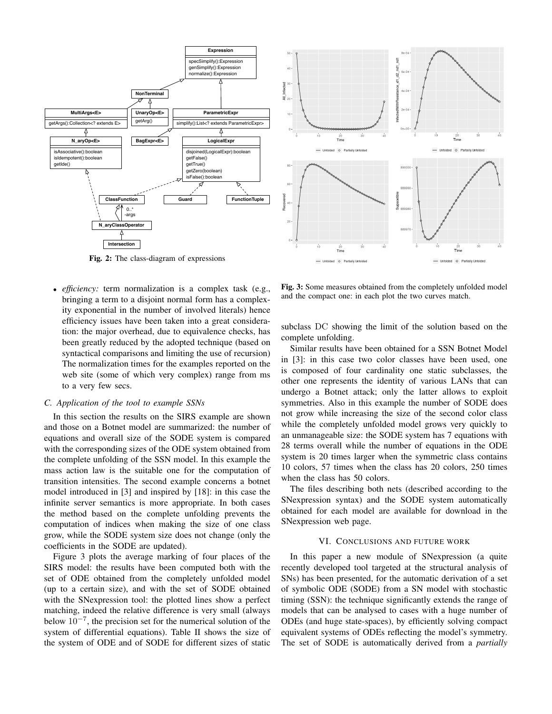

Fig. 2: The class-diagram of expressions

• *efficiency:* term normalization is a complex task (e.g., bringing a term to a disjoint normal form has a complexity exponential in the number of involved literals) hence efficiency issues have been taken into a great consideration: the major overhead, due to equivalence checks, has been greatly reduced by the adopted technique (based on syntactical comparisons and limiting the use of recursion) The normalization times for the examples reported on the web site (some of which very complex) range from ms to a very few secs.

## *C. Application of the tool to example SSNs*

In this section the results on the SIRS example are shown and those on a Botnet model are summarized: the number of equations and overall size of the SODE system is compared with the corresponding sizes of the ODE system obtained from the complete unfolding of the SSN model. In this example the mass action law is the suitable one for the computation of transition intensities. The second example concerns a botnet model introduced in [3] and inspired by [18]: in this case the infinite server semantics is more appropriate. In both cases the method based on the complete unfolding prevents the computation of indices when making the size of one class grow, while the SODE system size does not change (only the coefficients in the SODE are updated).

Figure 3 plots the average marking of four places of the SIRS model: the results have been computed both with the set of ODE obtained from the completely unfolded model (up to a certain size), and with the set of SODE obtained with the SNexpression tool: the plotted lines show a perfect matching, indeed the relative difference is very small (always below  $10^{-7}$ , the precision set for the numerical solution of the system of differential equations). Table II shows the size of the system of ODE and of SODE for different sizes of static



Fig. 3: Some measures obtained from the completely unfolded model and the compact one: in each plot the two curves match.

subclass DC showing the limit of the solution based on the complete unfolding.

Similar results have been obtained for a SSN Botnet Model in [3]: in this case two color classes have been used, one is composed of four cardinality one static subclasses, the other one represents the identity of various LANs that can undergo a Botnet attack; only the latter allows to exploit symmetries. Also in this example the number of SODE does not grow while increasing the size of the second color class while the completely unfolded model grows very quickly to an unmanageable size: the SODE system has 7 equations with 28 terms overall while the number of equations in the ODE system is 20 times larger when the symmetric class contains 10 colors, 57 times when the class has 20 colors, 250 times when the class has 50 colors.

The files describing both nets (described according to the SNexpression syntax) and the SODE system automatically obtained for each model are available for download in the SNexpression web page.

#### VI. CONCLUSIONS AND FUTURE WORK

In this paper a new module of SNexpression (a quite recently developed tool targeted at the structural analysis of SNs) has been presented, for the automatic derivation of a set of symbolic ODE (SODE) from a SN model with stochastic timing (SSN): the technique significantly extends the range of models that can be analysed to cases with a huge number of ODEs (and huge state-spaces), by efficiently solving compact equivalent systems of ODEs reflecting the model's symmetry. The set of SODE is automatically derived from a *partially*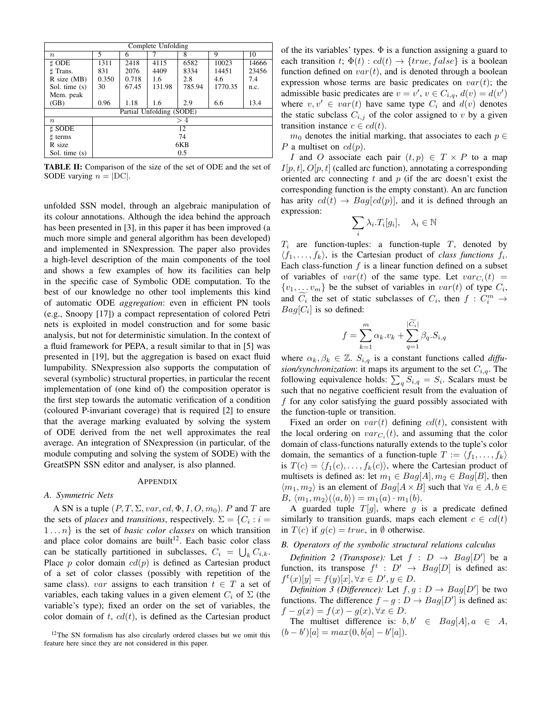| Complete Unfolding       |       |       |        |        |         |       |  |  |
|--------------------------|-------|-------|--------|--------|---------|-------|--|--|
| $n_{\cdot}$              | 5     | 6     |        | 8      | 9       | 10    |  |  |
| t ODE                    | 1311  | 2418  | 4115   | 6582   | 10023   | 14666 |  |  |
| <b>t</b> Trans.          | 831   | 2076  | 4409   | 8334   | 14451   | 23456 |  |  |
| $R$ size (MB)            | 0.350 | 0.718 | 1.6    | 2.8    | 4.6     | 7.4   |  |  |
| Sol. time (s)            | 30    | 67.45 | 131.98 | 785.94 | 1770.35 | n.c.  |  |  |
| Mem. peak                |       |       |        |        |         |       |  |  |
| (GB)                     | 0.96  | 1.18  | 1.6    | 2.9    | 6.6     | 13.4  |  |  |
| Partial Unfolding (SODE) |       |       |        |        |         |       |  |  |
| $n_{\cdot}$              | >4    |       |        |        |         |       |  |  |
| t SODE                   | 12    |       |        |        |         |       |  |  |
| t terms                  | 74    |       |        |        |         |       |  |  |
| R size                   | 6KB   |       |        |        |         |       |  |  |
| Sol. time (s)            | 0.5   |       |        |        |         |       |  |  |

TABLE II: Comparison of the size of the set of ODE and the set of SODE varying  $n = |DC|$ .

unfolded SSN model, through an algebraic manipulation of its colour annotations. Although the idea behind the approach has been presented in [3], in this paper it has been improved (a much more simple and general algorithm has been developed) and implemented in SNexpression. The paper also provides a high-level description of the main components of the tool and shows a few examples of how its facilities can help in the specific case of Symbolic ODE computation. To the best of our knowledge no other tool implements this kind of automatic ODE *aggregation*: even in efficient PN tools (e.g., Snoopy [17]) a compact representation of colored Petri nets is exploited in model construction and for some basic analysis, but not for deterministic simulation. In the context of a fluid framework for PEPA, a result similar to that in [5] was presented in [19], but the aggregation is based on exact fluid lumpability. SNexpression also supports the computation of several (symbolic) structural properties, in particular the recent implementation of (one kind of) the composition operator is the first step towards the automatic verification of a condition (coloured P-invariant coverage) that is required [2] to ensure that the average marking evaluated by solving the system of ODE derived from the net well approximates the real average. An integration of SNexpression (in particular, of the module computing and solving the system of SODE) with the GreatSPN SSN editor and analyser, is also planned.

#### **APPENDIX**

## *A. Symmetric Nets*

A SN is a tuple  $(P, T, \Sigma, var, cd, \Phi, I, O, m_0)$ . P and T are the sets of *places* and *transitions*, respectively.  $\Sigma = \{C_i : i =$ 1 . . . n} is the set of *basic color classes* on which transition and place color domains are built<sup>12</sup>. Each basic color class can be statically partitioned in subclasses,  $C_i = \bigcup_k C_{i,k}$ . Place p color domain  $cd(p)$  is defined as Cartesian product of a set of color classes (possibly with repetition of the same class). var assigns to each transition  $t \in T$  a set of variables, each taking values in a given element  $C_i$  of  $\Sigma$  (the variable's type); fixed an order on the set of variables, the color domain of t,  $cd(t)$ , is defined as the Cartesian product of the its variables' types.  $\Phi$  is a function assigning a guard to each transition t;  $\Phi(t)$  :  $cd(t) \rightarrow \{true, false\}$  is a boolean function defined on  $var(t)$ , and is denoted through a boolean expression whose terms are basic predicates on  $var(t)$ ; the admissible basic predicates are  $v = v'$ ,  $v \in C_{i,q}$ ,  $d(v) = d(v')$ where  $v, v' \in var(t)$  have same type  $C_i$  and  $d(v)$  denotes the static subclass  $C_{i,j}$  of the color assigned to v by a given transition instance  $c \in cd(t)$ .

 $m_0$  denotes the initial marking, that associates to each  $p \in$ P a multiset on  $cd(p)$ .

I and O associate each pair  $(t, p) \in T \times P$  to a map  $I[p, t], O[p, t]$  (called arc function), annotating a corresponding oriented arc connecting  $t$  and  $p$  (if the arc doesn't exist the corresponding function is the empty constant). An arc function has arity  $cd(t) \rightarrow Bag[cd(p)]$ , and it is defined through an expression:

$$
\sum_{i} \lambda_i \cdot T_i[g_i], \quad \lambda_i \in \mathbb{N}
$$

 $T_i$  are function-tuples: a function-tuple T, denoted by  $\langle f_1, \ldots, f_k \rangle$ , is the Cartesian product of *class functions*  $f_i$ . Each class-function  $f$  is a linear function defined on a subset of variables of  $var(t)$  of the same type. Let  $var_{C_i}(t)$  =  $\{v_1, \ldots, v_m\}$  be the subset of variables in  $var(t)$  of type  $C_i$ , and  $\overline{C}_i$  the set of static subclasses of  $C_i$ , then  $f: C_i^m \to$  $Bag[C_i]$  is so defined:

$$
f = \sum_{k=1}^{m} \alpha_k v_k + \sum_{q=1}^{|C_i|} \beta_q . S_{i,q}
$$

where  $\alpha_k, \beta_k \in \mathbb{Z}$ .  $S_{i,q}$  is a constant functions called *diffusion/synchronization*: it maps its argument to the set  $C_{i,q}$ . The following equivalence holds:  $\sum_{q} S_{i,q} = S_i$ . Scalars must be such that no negative coefficient result from the evaluation of f for any color satisfying the guard possibly associated with the function-tuple or transition.

Fixed an order on  $var(t)$  defining  $cd(t)$ , consistent with the local ordering on  $var_{C_i}(t)$ , and assuming that the color domain of class-functions naturally extends to the tuple's color domain, the semantics of a function-tuple  $T := \langle f_1, \ldots, f_k \rangle$ is  $T(c) = \langle f_1(c), \ldots, f_k(c) \rangle$ , where the Cartesian product of multisets is defined as: let  $m_1 \in Bag[A], m_2 \in Bag[B]$ , then  $\langle m_1, m_2 \rangle$  is an element of  $Bag[A \times B]$  such that  $\forall a \in A, b \in$  $B, \langle m_1, m_2 \rangle (\langle a, b \rangle) = m_1(a) \cdot m_1(b).$ 

A guarded tuple  $T[g]$ , where g is a predicate defined similarly to transition guards, maps each element  $c \in cd(t)$ in  $T(c)$  if  $g(c) = true$ , in Ø otherwise.

# *B. Operators of the symbolic structural relations calculus*

*Definition 2 (Transpose):* Let  $f : D \rightarrow Bag[D']$  be a function, its transpose  $f^t : D' \rightarrow Bag[D]$  is defined as:  $f^t(x)[y] = f(y)[x], \forall x \in D', y \in D.$ 

*Definition 3 (Difference):* Let  $f, g : D \rightarrow Bag[D']$  be two functions. The difference  $f - g : D \to Bag[D']$  is defined as:  $f - g(x) = f(x) - g(x), \forall x \in D.$ 

The multiset difference is:  $b, b' \in Bag[A], a \in A$ ,  $(b - b')[a] = max(0, b[a] - b'[a]).$ 

<sup>&</sup>lt;sup>12</sup>The SN formalism has also circularly ordered classes but we omit this feature here since they are not considered in this paper.